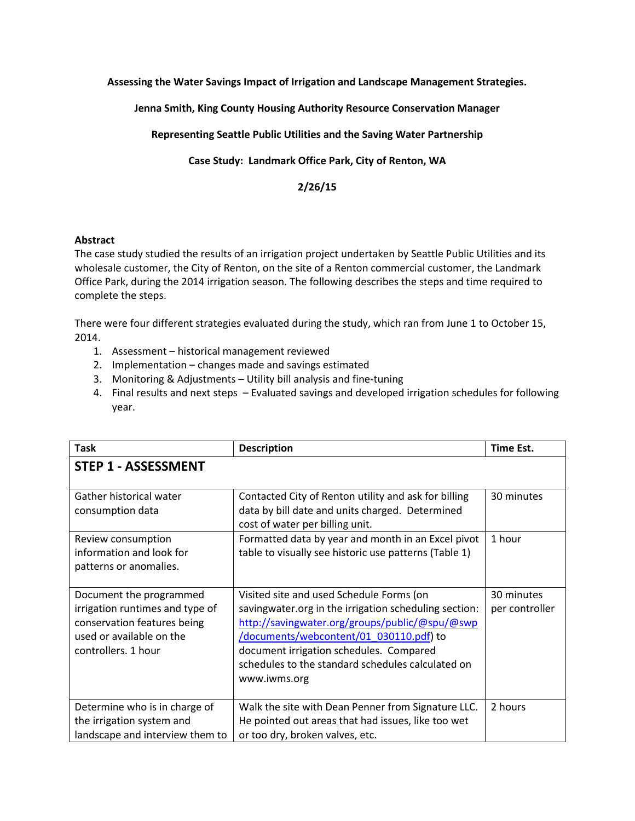**Assessing the Water Savings Impact of Irrigation and Landscape Management Strategies.**

**Jenna Smith, King County Housing Authority Resource Conservation Manager**

**Representing Seattle Public Utilities and the Saving Water Partnership**

**Case Study: Landmark Office Park, City of Renton, WA**

**2/26/15**

## **Abstract**

The case study studied the results of an irrigation project undertaken by Seattle Public Utilities and its wholesale customer, the City of Renton, on the site of a Renton commercial customer, the Landmark Office Park, during the 2014 irrigation season. The following describes the steps and time required to complete the steps.

There were four different strategies evaluated during the study, which ran from June 1 to October 15, 2014.

- 1. Assessment historical management reviewed
- 2. Implementation changes made and savings estimated
- 3. Monitoring & Adjustments Utility bill analysis and fine-tuning
- 4. Final results and next steps Evaluated savings and developed irrigation schedules for following year.

| <b>Task</b>                                                                                                                                  | <b>Description</b>                                                                                                                                                                                                                                                                                             | Time Est.                    |  |  |
|----------------------------------------------------------------------------------------------------------------------------------------------|----------------------------------------------------------------------------------------------------------------------------------------------------------------------------------------------------------------------------------------------------------------------------------------------------------------|------------------------------|--|--|
| <b>STEP 1 - ASSESSMENT</b>                                                                                                                   |                                                                                                                                                                                                                                                                                                                |                              |  |  |
| Gather historical water<br>consumption data                                                                                                  | Contacted City of Renton utility and ask for billing<br>data by bill date and units charged. Determined<br>cost of water per billing unit.                                                                                                                                                                     | 30 minutes                   |  |  |
| Review consumption<br>information and look for<br>patterns or anomalies.                                                                     | Formatted data by year and month in an Excel pivot<br>table to visually see historic use patterns (Table 1)                                                                                                                                                                                                    | 1 hour                       |  |  |
| Document the programmed<br>irrigation runtimes and type of<br>conservation features being<br>used or available on the<br>controllers. 1 hour | Visited site and used Schedule Forms (on<br>savingwater.org in the irrigation scheduling section:<br>http://savingwater.org/groups/public/@spu/@swp<br>/documents/webcontent/01 030110.pdf) to<br>document irrigation schedules. Compared<br>schedules to the standard schedules calculated on<br>www.iwms.org | 30 minutes<br>per controller |  |  |
| Determine who is in charge of<br>the irrigation system and<br>landscape and interview them to                                                | Walk the site with Dean Penner from Signature LLC.<br>He pointed out areas that had issues, like too wet<br>or too dry, broken valves, etc.                                                                                                                                                                    | 2 hours                      |  |  |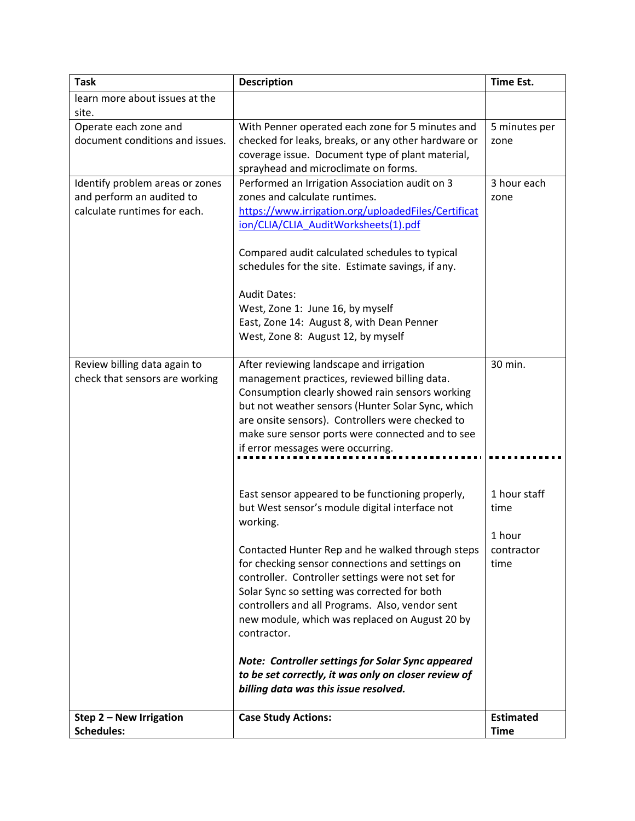| <b>Task</b>                     | <b>Description</b>                                                                                        | <b>Time Est.</b> |
|---------------------------------|-----------------------------------------------------------------------------------------------------------|------------------|
| learn more about issues at the  |                                                                                                           |                  |
| site.                           |                                                                                                           |                  |
| Operate each zone and           | With Penner operated each zone for 5 minutes and                                                          | 5 minutes per    |
| document conditions and issues. | checked for leaks, breaks, or any other hardware or                                                       | zone             |
|                                 | coverage issue. Document type of plant material,                                                          |                  |
|                                 | sprayhead and microclimate on forms.                                                                      |                  |
| Identify problem areas or zones | Performed an Irrigation Association audit on 3                                                            | 3 hour each      |
| and perform an audited to       | zones and calculate runtimes.                                                                             | zone             |
| calculate runtimes for each.    | https://www.irrigation.org/uploadedFiles/Certificat                                                       |                  |
|                                 | ion/CLIA/CLIA AuditWorksheets(1).pdf                                                                      |                  |
|                                 | Compared audit calculated schedules to typical                                                            |                  |
|                                 | schedules for the site. Estimate savings, if any.                                                         |                  |
|                                 |                                                                                                           |                  |
|                                 | <b>Audit Dates:</b>                                                                                       |                  |
|                                 | West, Zone 1: June 16, by myself                                                                          |                  |
|                                 | East, Zone 14: August 8, with Dean Penner                                                                 |                  |
|                                 | West, Zone 8: August 12, by myself                                                                        |                  |
|                                 |                                                                                                           |                  |
| Review billing data again to    | After reviewing landscape and irrigation                                                                  | 30 min.          |
| check that sensors are working  | management practices, reviewed billing data.                                                              |                  |
|                                 | Consumption clearly showed rain sensors working                                                           |                  |
|                                 | but not weather sensors (Hunter Solar Sync, which                                                         |                  |
|                                 | are onsite sensors). Controllers were checked to                                                          |                  |
|                                 | make sure sensor ports were connected and to see<br>if error messages were occurring.                     |                  |
|                                 |                                                                                                           |                  |
|                                 |                                                                                                           |                  |
|                                 | East sensor appeared to be functioning properly,                                                          | 1 hour staff     |
|                                 | but West sensor's module digital interface not                                                            | time             |
|                                 | working.                                                                                                  |                  |
|                                 |                                                                                                           | 1 hour           |
|                                 | Contacted Hunter Rep and he walked through steps                                                          | contractor       |
|                                 | for checking sensor connections and settings on                                                           | time             |
|                                 | controller. Controller settings were not set for                                                          |                  |
|                                 | Solar Sync so setting was corrected for both                                                              |                  |
|                                 | controllers and all Programs. Also, vendor sent                                                           |                  |
|                                 | new module, which was replaced on August 20 by                                                            |                  |
|                                 | contractor.                                                                                               |                  |
|                                 |                                                                                                           |                  |
|                                 | Note: Controller settings for Solar Sync appeared<br>to be set correctly, it was only on closer review of |                  |
|                                 | billing data was this issue resolved.                                                                     |                  |
|                                 |                                                                                                           |                  |
| Step 2 - New Irrigation         | <b>Case Study Actions:</b>                                                                                | <b>Estimated</b> |
| <b>Schedules:</b>               |                                                                                                           | <b>Time</b>      |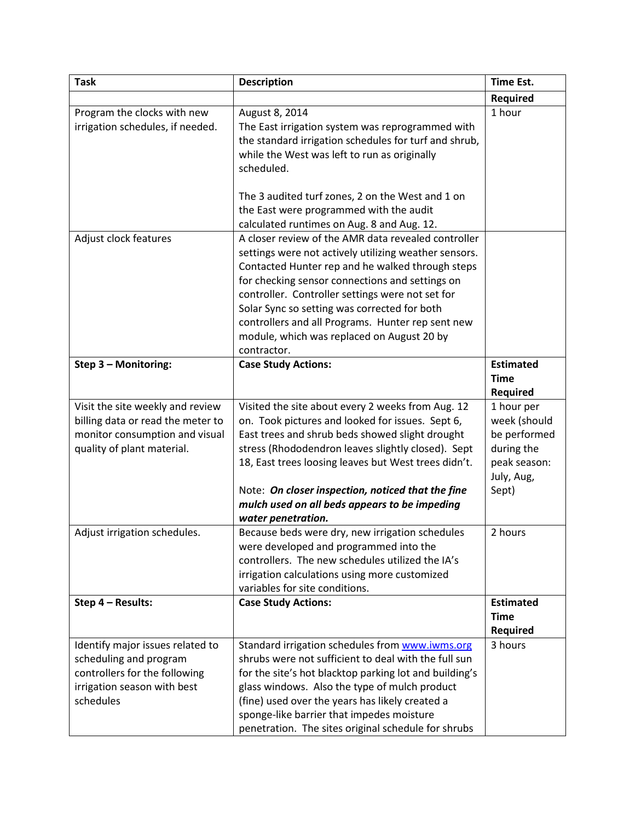| <b>Task</b>                       | <b>Description</b>                                                                                 | <b>Time Est.</b> |
|-----------------------------------|----------------------------------------------------------------------------------------------------|------------------|
|                                   |                                                                                                    | Required         |
| Program the clocks with new       | August 8, 2014                                                                                     | 1 hour           |
| irrigation schedules, if needed.  | The East irrigation system was reprogrammed with                                                   |                  |
|                                   | the standard irrigation schedules for turf and shrub,                                              |                  |
|                                   | while the West was left to run as originally                                                       |                  |
|                                   | scheduled.                                                                                         |                  |
|                                   |                                                                                                    |                  |
|                                   | The 3 audited turf zones, 2 on the West and 1 on                                                   |                  |
|                                   | the East were programmed with the audit                                                            |                  |
|                                   | calculated runtimes on Aug. 8 and Aug. 12.                                                         |                  |
| Adjust clock features             | A closer review of the AMR data revealed controller                                                |                  |
|                                   | settings were not actively utilizing weather sensors.                                              |                  |
|                                   | Contacted Hunter rep and he walked through steps                                                   |                  |
|                                   | for checking sensor connections and settings on                                                    |                  |
|                                   | controller. Controller settings were not set for                                                   |                  |
|                                   | Solar Sync so setting was corrected for both                                                       |                  |
|                                   | controllers and all Programs. Hunter rep sent new                                                  |                  |
|                                   | module, which was replaced on August 20 by                                                         |                  |
|                                   | contractor.                                                                                        |                  |
| Step 3 - Monitoring:              | <b>Case Study Actions:</b>                                                                         | <b>Estimated</b> |
|                                   |                                                                                                    | <b>Time</b>      |
|                                   |                                                                                                    | <b>Required</b>  |
| Visit the site weekly and review  | Visited the site about every 2 weeks from Aug. 12                                                  | 1 hour per       |
| billing data or read the meter to | on. Took pictures and looked for issues. Sept 6,                                                   | week (should     |
| monitor consumption and visual    | East trees and shrub beds showed slight drought                                                    | be performed     |
| quality of plant material.        | stress (Rhododendron leaves slightly closed). Sept                                                 | during the       |
|                                   | 18, East trees loosing leaves but West trees didn't.                                               | peak season:     |
|                                   |                                                                                                    | July, Aug,       |
|                                   | Note: On closer inspection, noticed that the fine<br>mulch used on all beds appears to be impeding | Sept)            |
|                                   | water penetration.                                                                                 |                  |
| Adjust irrigation schedules.      | Because beds were dry, new irrigation schedules                                                    | 2 hours          |
|                                   | were developed and programmed into the                                                             |                  |
|                                   | controllers. The new schedules utilized the IA's                                                   |                  |
|                                   | irrigation calculations using more customized                                                      |                  |
|                                   | variables for site conditions.                                                                     |                  |
| Step 4 - Results:                 | <b>Case Study Actions:</b>                                                                         | <b>Estimated</b> |
|                                   |                                                                                                    | <b>Time</b>      |
|                                   |                                                                                                    | <b>Required</b>  |
| Identify major issues related to  | Standard irrigation schedules from www.iwms.org                                                    | 3 hours          |
| scheduling and program            | shrubs were not sufficient to deal with the full sun                                               |                  |
| controllers for the following     | for the site's hot blacktop parking lot and building's                                             |                  |
| irrigation season with best       | glass windows. Also the type of mulch product                                                      |                  |
| schedules                         | (fine) used over the years has likely created a                                                    |                  |
|                                   | sponge-like barrier that impedes moisture                                                          |                  |
|                                   | penetration. The sites original schedule for shrubs                                                |                  |